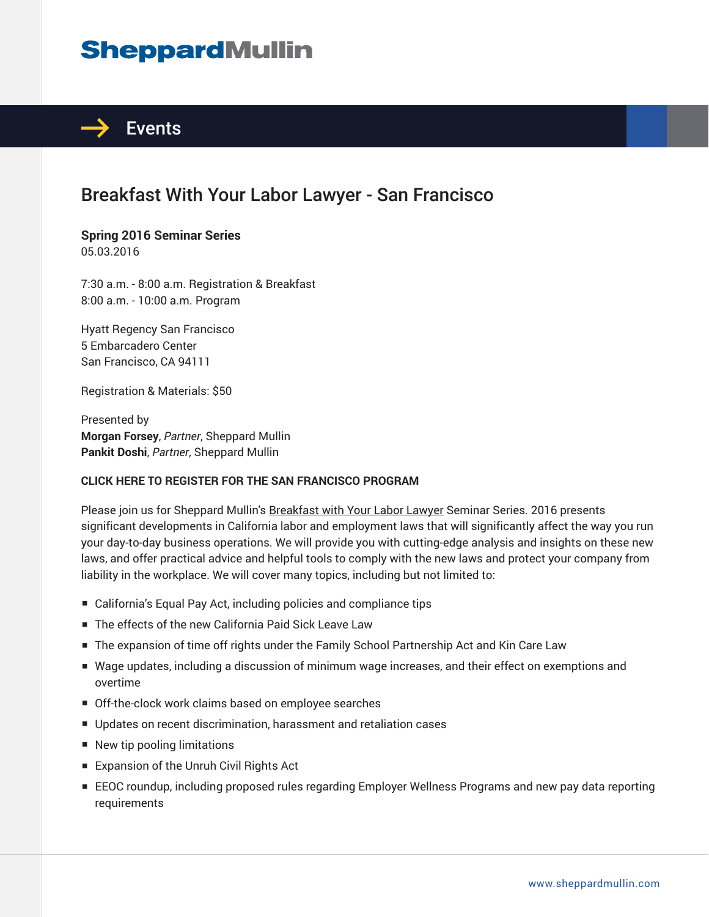# **SheppardMullin**



## Breakfast With Your Labor Lawyer - San Francisco

#### **Spring 2016 Seminar Series** 05.03.2016

7:30 a.m. - 8:00 a.m. Registration & Breakfast 8:00 a.m. - 10:00 a.m. Program

Hyatt Regency San Francisco 5 Embarcadero Center San Francisco, CA 94111

Registration & Materials: \$50

Presented by **Morgan Forsey**, *Partner*, Sheppard Mullin **Pankit Doshi**, *Partner*, Sheppard Mullin

#### **CLICK HERE TO REGISTER FOR THE SAN FRANCISCO PROGRAM**

Please join us for Sheppard Mullin's Breakfast with Your Labor Lawyer Seminar Series. 2016 presents significant developments in California labor and employment laws that will significantly affect the way you run your day-to-day business operations. We will provide you with cutting-edge analysis and insights on these new laws, and offer practical advice and helpful tools to comply with the new laws and protect your company from liability in the workplace. We will cover many topics, including but not limited to:

- California's Equal Pay Act, including policies and compliance tips
- The effects of the new California Paid Sick Leave Law
- The expansion of time off rights under the Family School Partnership Act and Kin Care Law
- Wage updates, including a discussion of minimum wage increases, and their effect on exemptions and overtime
- Off-the-clock work claims based on employee searches
- Updates on recent discrimination, harassment and retaliation cases
- New tip pooling limitations
- Expansion of the Unruh Civil Rights Act
- EEOC roundup, including proposed rules regarding Employer Wellness Programs and new pay data reporting requirements